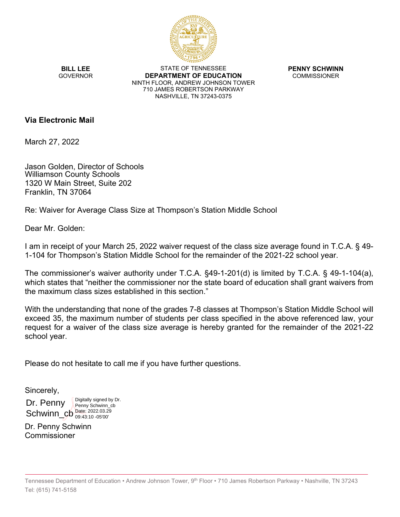

**BILL LEE GOVERNOR** 

STATE OF TENNESSEE **DEPARTMENT OF EDUCATION** NINTH FLOOR, ANDREW JOHNSON TOWER 710 JAMES ROBERTSON PARKWAY NASHVILLE, TN 37243-0375

**PENNY SCHWINN COMMISSIONER** 

## **Via Electronic Mail**

March 27, 2022

Jason Golden, Director of Schools Williamson County Schools 1320 W Main Street, Suite 202 Franklin, TN 37064

Re: Waiver for Average Class Size at Thompson's Station Middle School

Dear Mr. Golden:

I am in receipt of your March 25, 2022 waiver request of the class size average found in T.C.A. § 49- 1-104 for Thompson's Station Middle School for the remainder of the 2021-22 school year.

The commissioner's waiver authority under T.C.A. §49-1-201(d) is limited by T.C.A. § 49-1-104(a), which states that "neither the commissioner nor the state board of education shall grant waivers from the maximum class sizes established in this section."

With the understanding that none of the grades 7-8 classes at Thompson's Station Middle School will exceed 35, the maximum number of students per class specified in the above referenced law, your request for a waiver of the class size average is hereby granted for the remainder of the 2021-22 school year.

Please do not hesitate to call me if you have further questions.

Sincerely,

Dr. Penny  $Schwin_{\_CD}$  Date: 2022.03.29 Digitally signed by Dr. Penny Schwinn\_cb 09:43:10 -05'00'

Dr. Penny Schwinn Commissioner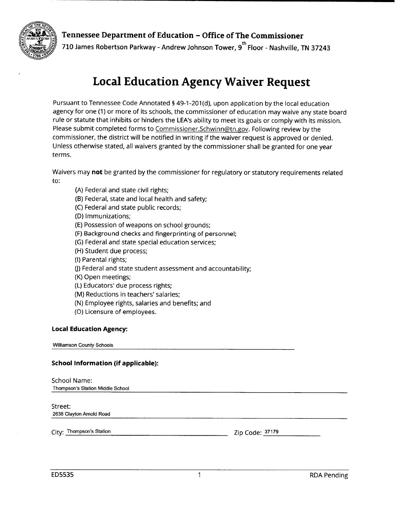



710 James Robertson Parkway - Andrew Johnson Tower, 9<sup>th</sup> Floor - Nashville, TN 37243

# **Local Education Agency Waiver Request**

Pursuant to Tennessee Code Annotated § 49-1-201(d), upon application by the local education agency for one (1) or more of its schools, the commissioner of education may waive any state board rule or statute that inhibits or hinders the LEA's ability to meet its goals or comply with its mission. Please submit completed forms to Commissioner.Schwinn@tn.gov. Following review by the commissioner, the district will be notified in writing if the waiver request is approved or denied. Unless otherwise stated, all waivers granted by the commissioner shall be granted for one year terms.

Waivers may not be granted by the commissioner for regulatory or statutory requirements related to:

- (A) Federal and state civil rights;
- (B) Federal, state and local health and safety;
- (C) Federal and state public records;
- (D) Immunizations;
- (E) Possession of weapons on school grounds;
- (F) Background checks and fingerprinting of personnel;
- (G) Federal and state special education services;
- (H) Student due process;
- (I) Parental rights;
- (J) Federal and state student assessment and accountability;
- (K) Open meetings;
- (L) Educators' due process rights;
- (M) Reductions in teachers' salaries;
- (N) Employee rights, salaries and benefits; and
- (O) Licensure of employees.

#### **Local Education Agency:**

**Williamson County Schools** 

### **School Information (if applicable):**

## School Name:

Thompson's Station Middle School

### Street:

2638 Clayton Arnold Road

City: Thompson's Station

Zip Code: 37179